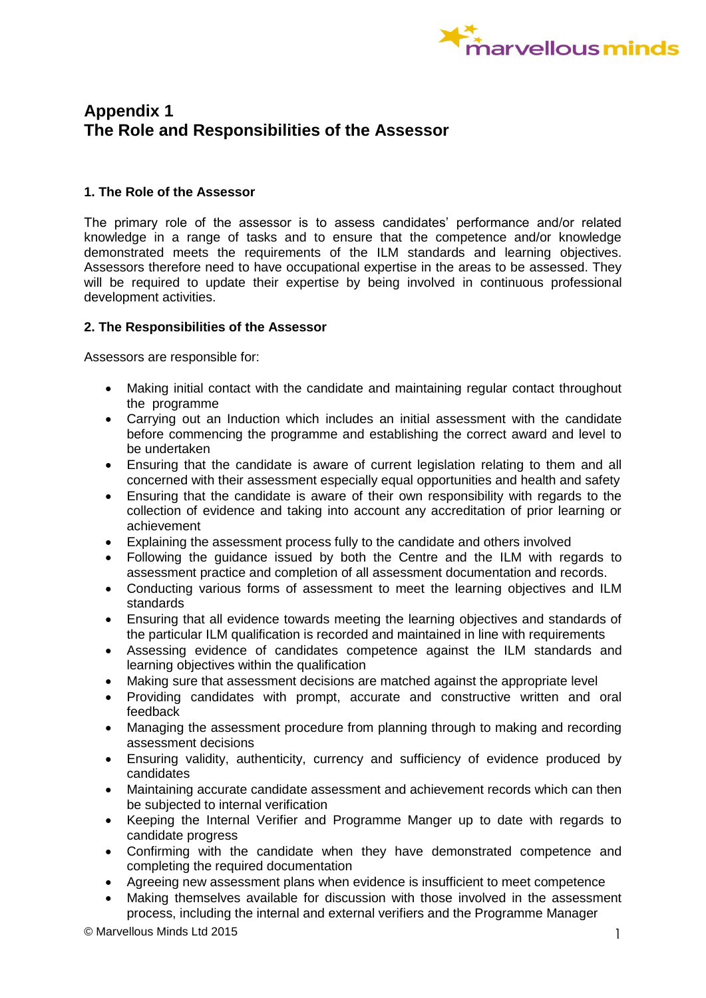

## **Appendix 1 The Role and Responsibilities of the Assessor**

## **1. The Role of the Assessor**

The primary role of the assessor is to assess candidates' performance and/or related knowledge in a range of tasks and to ensure that the competence and/or knowledge demonstrated meets the requirements of the ILM standards and learning objectives. Assessors therefore need to have occupational expertise in the areas to be assessed. They will be required to update their expertise by being involved in continuous professional development activities.

## **2. The Responsibilities of the Assessor**

Assessors are responsible for:

- Making initial contact with the candidate and maintaining regular contact throughout the programme
- Carrying out an Induction which includes an initial assessment with the candidate before commencing the programme and establishing the correct award and level to be undertaken
- Ensuring that the candidate is aware of current legislation relating to them and all concerned with their assessment especially equal opportunities and health and safety
- Ensuring that the candidate is aware of their own responsibility with regards to the collection of evidence and taking into account any accreditation of prior learning or achievement
- Explaining the assessment process fully to the candidate and others involved
- Following the guidance issued by both the Centre and the ILM with regards to assessment practice and completion of all assessment documentation and records.
- Conducting various forms of assessment to meet the learning objectives and ILM standards
- Ensuring that all evidence towards meeting the learning objectives and standards of the particular ILM qualification is recorded and maintained in line with requirements
- Assessing evidence of candidates competence against the ILM standards and learning objectives within the qualification
- Making sure that assessment decisions are matched against the appropriate level
- Providing candidates with prompt, accurate and constructive written and oral feedback
- Managing the assessment procedure from planning through to making and recording assessment decisions
- Ensuring validity, authenticity, currency and sufficiency of evidence produced by candidates
- Maintaining accurate candidate assessment and achievement records which can then be subjected to internal verification
- Keeping the Internal Verifier and Programme Manger up to date with regards to candidate progress
- Confirming with the candidate when they have demonstrated competence and completing the required documentation
- Agreeing new assessment plans when evidence is insufficient to meet competence
- Making themselves available for discussion with those involved in the assessment process, including the internal and external verifiers and the Programme Manager